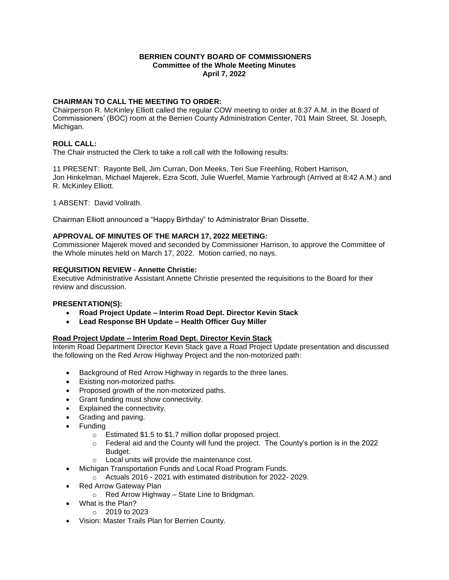### **BERRIEN COUNTY BOARD OF COMMISSIONERS Committee of the Whole Meeting Minutes April 7, 2022**

# **CHAIRMAN TO CALL THE MEETING TO ORDER:**

Chairperson R. McKinley Elliott called the regular COW meeting to order at 8:37 A.M. in the Board of Commissioners' (BOC) room at the Berrien County Administration Center, 701 Main Street, St. Joseph, Michigan.

# **ROLL CALL:**

The Chair instructed the Clerk to take a roll call with the following results:

11 PRESENT: Rayonte Bell, Jim Curran, Don Meeks, Teri Sue Freehling, Robert Harrison, Jon Hinkelman, Michael Majerek, Ezra Scott, Julie Wuerfel, Mamie Yarbrough (Arrived at 8:42 A.M.) and R. McKinley Elliott.

1 ABSENT: David Vollrath.

Chairman Elliott announced a "Happy Birthday" to Administrator Brian Dissette.

#### **APPROVAL OF MINUTES OF THE MARCH 17, 2022 MEETING:**

Commissioner Majerek moved and seconded by Commissioner Harrison, to approve the Committee of the Whole minutes held on March 17, 2022. Motion carried, no nays.

# **REQUISITION REVIEW - Annette Christie:**

Executive Administrative Assistant Annette Christie presented the requisitions to the Board for their review and discussion.

#### **PRESENTATION(S):**

- **Road Project Update – Interim Road Dept. Director Kevin Stack**
- **Lead Response BH Update – Health Officer Guy Miller**

# **Road Project Update – Interim Road Dept. Director Kevin Stack**

Interim Road Department Director Kevin Stack gave a Road Project Update presentation and discussed the following on the Red Arrow Highway Project and the non-motorized path:

- Background of Red Arrow Highway in regards to the three lanes.
- Existing non-motorized paths.
- Proposed growth of the non-motorized paths.
- Grant funding must show connectivity.
- Explained the connectivity.
- Grading and paving.
- Funding
	- o Estimated \$1.5 to \$1.7 million dollar proposed project.
	- $\circ$  Federal aid and the County will fund the project. The County's portion is in the 2022 Budget.
	- o Local units will provide the maintenance cost.
- Michigan Transportation Funds and Local Road Program Funds.
	- $\degree$  Actuals 2016 2021 with estimated distribution for 2022-2029.
- Red Arrow Gateway Plan
	- o Red Arrow Highway State Line to Bridgman.
- What is the Plan?
	- o 2019 to 2023
- Vision: Master Trails Plan for Berrien County.